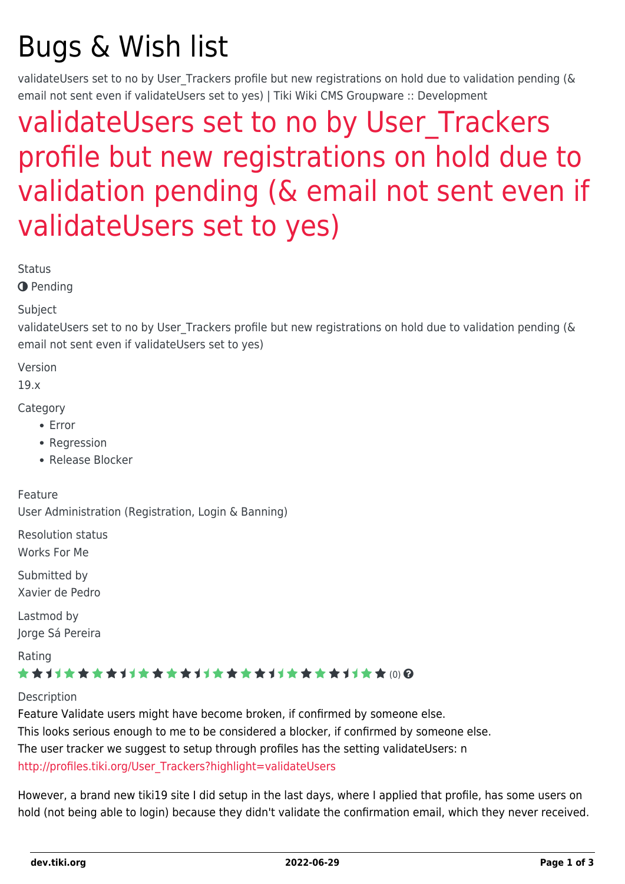# Bugs & Wish list

validateUsers set to no by User Trackers profile but new registrations on hold due to validation pending (& email not sent even if validateUsers set to yes) | Tiki Wiki CMS Groupware :: Development

# [validateUsers set to no by User\\_Trackers](https://dev.tiki.org/item6903-validateUsers-set-to-no-by-User_Trackers-profile-but-new-registrations-on-hold-due-to-validation-pending-email-not-sent-even-if-validateUsers-set-to-yes) [profile but new registrations on hold due to](https://dev.tiki.org/item6903-validateUsers-set-to-no-by-User_Trackers-profile-but-new-registrations-on-hold-due-to-validation-pending-email-not-sent-even-if-validateUsers-set-to-yes) [validation pending \(& email not sent even if](https://dev.tiki.org/item6903-validateUsers-set-to-no-by-User_Trackers-profile-but-new-registrations-on-hold-due-to-validation-pending-email-not-sent-even-if-validateUsers-set-to-yes) [validateUsers set to yes\)](https://dev.tiki.org/item6903-validateUsers-set-to-no-by-User_Trackers-profile-but-new-registrations-on-hold-due-to-validation-pending-email-not-sent-even-if-validateUsers-set-to-yes)

**Status** 

**O** Pending

Subject

validateUsers set to no by User Trackers profile but new registrations on hold due to validation pending (& email not sent even if validateUsers set to yes)

Version

19.x

**Category** 

- Error
- Regression
- Release Blocker

Feature User Administration (Registration, Login & Banning)

Resolution status Works For Me

Submitted by Xavier de Pedro

Lastmod by Jorge Sá Pereira

Rating

#### \*\*\*\*\*\*\*\*\*\*\*\*\*\*\*\*\*\*\*\*\*\*\*\*\*\*\*\*\*\*

**Description** 

Feature Validate users might have become broken, if confirmed by someone else. This looks serious enough to me to be considered a blocker, if confirmed by someone else. The user tracker we suggest to setup through profiles has the setting validateUsers: n [http://profiles.tiki.org/User\\_Trackers?highlight=validateUsers](http://profiles.tiki.org/User_Trackers?highlight=validateUsers)

However, a brand new tiki19 site I did setup in the last days, where I applied that profile, has some users on hold (not being able to login) because they didn't validate the confirmation email, which they never received.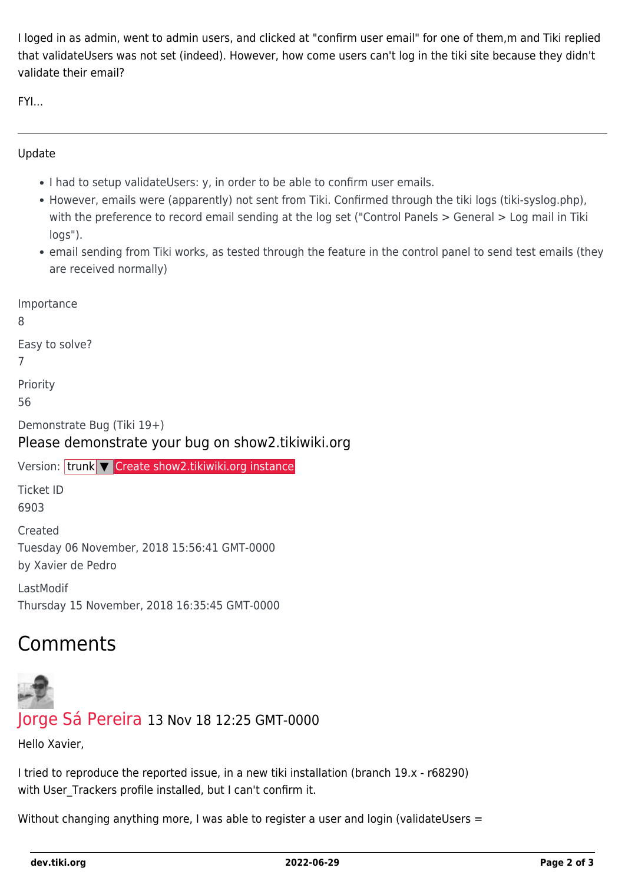I loged in as admin, went to admin users, and clicked at "confirm user email" for one of them,m and Tiki replied that validateUsers was not set (indeed). However, how come users can't log in the tiki site because they didn't validate their email?

FYI...

#### Update

- I had to setup validateUsers: y, in order to be able to confirm user emails.
- However, emails were (apparently) not sent from Tiki. Confirmed through the tiki logs (tiki-syslog.php), with the preference to record email sending at the log set ("Control Panels > General > Log mail in Tiki logs").
- email sending from Tiki works, as tested through the feature in the control panel to send test emails (they are received normally)

Importance 8 Easy to solve? 7 Priority 56 Demonstrate Bug (Tiki 19+) Please demonstrate your bug on show2.tikiwiki.org Version: trunk ▼ [Create show2.tikiwiki.org instance](#page--1-0) Ticket ID 6903 Created Tuesday 06 November, 2018 15:56:41 GMT-0000 by Xavier de Pedro LastModif Thursday 15 November, 2018 16:35:45 GMT-0000

# Comments



### [Jorge Sá Pereira](https://dev.tiki.org/user11906) 13 Nov 18 12:25 GMT-0000

Hello Xavier,

I tried to reproduce the reported issue, in a new tiki installation (branch 19.x - r68290) with User Trackers profile installed, but I can't confirm it.

Without changing anything more, I was able to register a user and login (validateUsers =